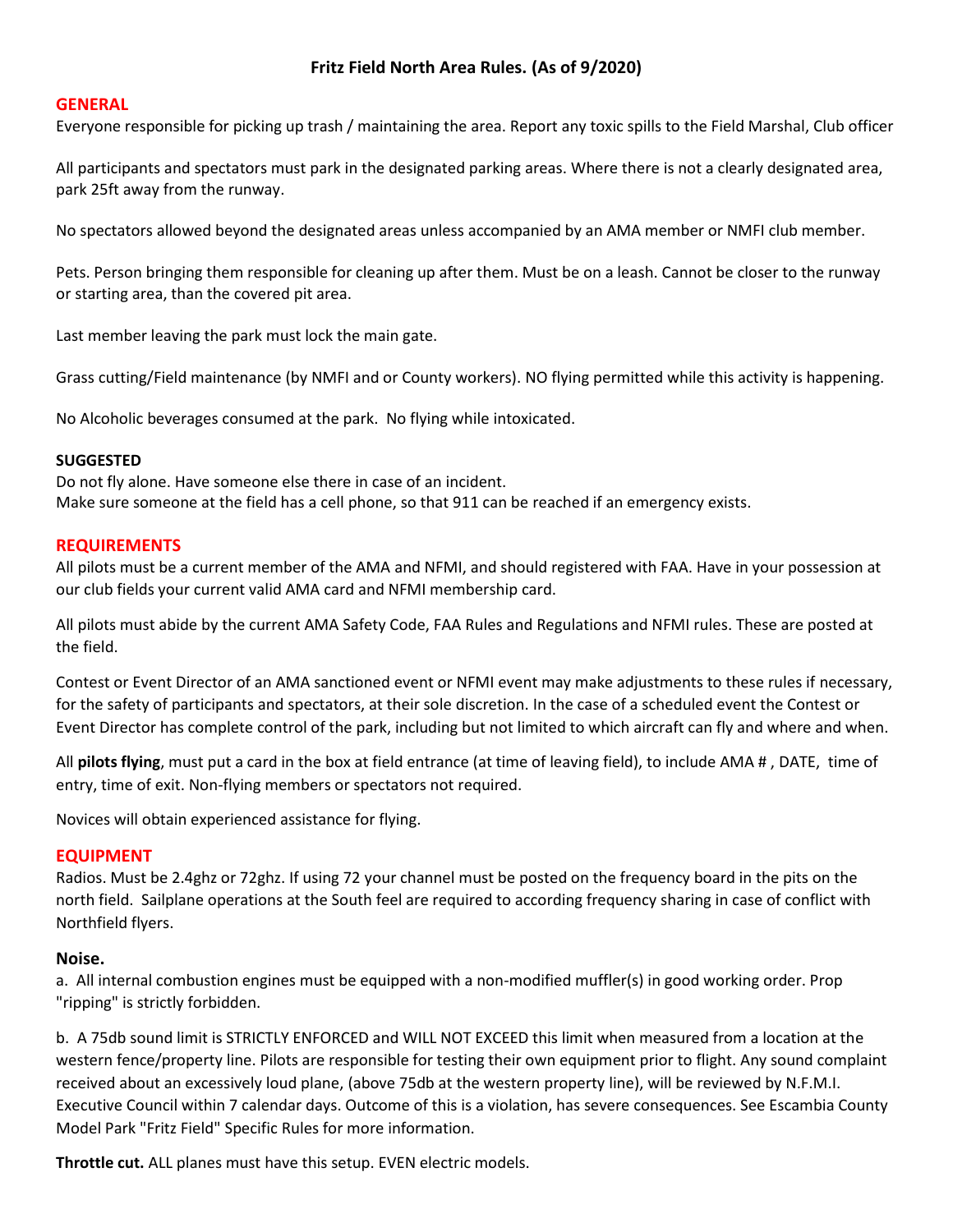# **Fritz Field North Area Rules. (As of 9/2020)**

#### **GENERAL**

Everyone responsible for picking up trash / maintaining the area. Report any toxic spills to the Field Marshal, Club officer

All participants and spectators must park in the designated parking areas. Where there is not a clearly designated area, park 25ft away from the runway.

No spectators allowed beyond the designated areas unless accompanied by an AMA member or NMFI club member.

Pets. Person bringing them responsible for cleaning up after them. Must be on a leash. Cannot be closer to the runway or starting area, than the covered pit area.

Last member leaving the park must lock the main gate.

Grass cutting/Field maintenance (by NMFI and or County workers). NO flying permitted while this activity is happening.

No Alcoholic beverages consumed at the park. No flying while intoxicated.

#### **SUGGESTED**

Do not fly alone. Have someone else there in case of an incident. Make sure someone at the field has a cell phone, so that 911 can be reached if an emergency exists.

#### **REQUIREMENTS**

All pilots must be a current member of the AMA and NFMI, and should registered with FAA. Have in your possession at our club fields your current valid AMA card and NFMI membership card.

All pilots must abide by the current AMA Safety Code, FAA Rules and Regulations and NFMI rules. These are posted at the field.

Contest or Event Director of an AMA sanctioned event or NFMI event may make adjustments to these rules if necessary, for the safety of participants and spectators, at their sole discretion. In the case of a scheduled event the Contest or Event Director has complete control of the park, including but not limited to which aircraft can fly and where and when.

All **pilots flying**, must put a card in the box at field entrance (at time of leaving field), to include AMA # , DATE, time of entry, time of exit. Non-flying members or spectators not required.

Novices will obtain experienced assistance for flying.

#### **EQUIPMENT**

Radios. Must be 2.4ghz or 72ghz. If using 72 your channel must be posted on the frequency board in the pits on the north field. Sailplane operations at the South feel are required to according frequency sharing in case of conflict with Northfield flyers.

#### **Noise.**

a. All internal combustion engines must be equipped with a non-modified muffler(s) in good working order. Prop "ripping" is strictly forbidden.

b. A 75db sound limit is STRICTLY ENFORCED and WILL NOT EXCEED this limit when measured from a location at the western fence/property line. Pilots are responsible for testing their own equipment prior to flight. Any sound complaint received about an excessively loud plane, (above 75db at the western property line), will be reviewed by N.F.M.I. Executive Council within 7 calendar days. Outcome of this is a violation, has severe consequences. See Escambia County Model Park "Fritz Field" Specific Rules for more information.

**Throttle cut.** ALL planes must have this setup. EVEN electric models.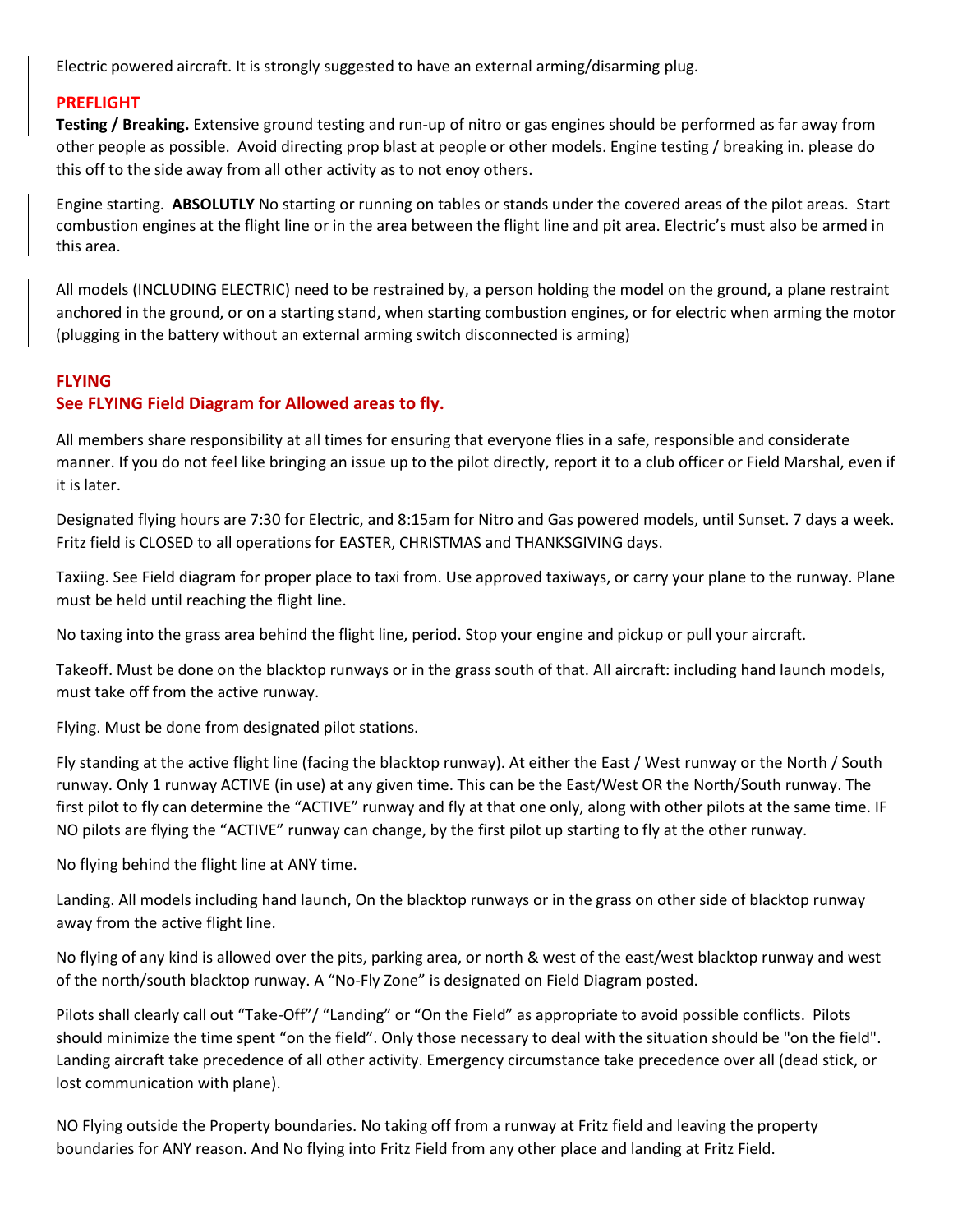Electric powered aircraft. It is strongly suggested to have an external arming/disarming plug.

## **PREFLIGHT**

**Testing / Breaking.** Extensive ground testing and run-up of nitro or gas engines should be performed as far away from other people as possible. Avoid directing prop blast at people or other models. Engine testing / breaking in. please do this off to the side away from all other activity as to not enoy others.

Engine starting. **ABSOLUTLY** No starting or running on tables or stands under the covered areas of the pilot areas. Start combustion engines at the flight line or in the area between the flight line and pit area. Electric's must also be armed in this area.

All models (INCLUDING ELECTRIC) need to be restrained by, a person holding the model on the ground, a plane restraint anchored in the ground, or on a starting stand, when starting combustion engines, or for electric when arming the motor (plugging in the battery without an external arming switch disconnected is arming)

## **FLYING**

# **See FLYING Field Diagram for Allowed areas to fly.**

All members share responsibility at all times for ensuring that everyone flies in a safe, responsible and considerate manner. If you do not feel like bringing an issue up to the pilot directly, report it to a club officer or Field Marshal, even if it is later.

Designated flying hours are 7:30 for Electric, and 8:15am for Nitro and Gas powered models, until Sunset. 7 days a week. Fritz field is CLOSED to all operations for EASTER, CHRISTMAS and THANKSGIVING days.

Taxiing. See Field diagram for proper place to taxi from. Use approved taxiways, or carry your plane to the runway. Plane must be held until reaching the flight line.

No taxing into the grass area behind the flight line, period. Stop your engine and pickup or pull your aircraft.

Takeoff. Must be done on the blacktop runways or in the grass south of that. All aircraft: including hand launch models, must take off from the active runway.

Flying. Must be done from designated pilot stations.

Fly standing at the active flight line (facing the blacktop runway). At either the East / West runway or the North / South runway. Only 1 runway ACTIVE (in use) at any given time. This can be the East/West OR the North/South runway. The first pilot to fly can determine the "ACTIVE" runway and fly at that one only, along with other pilots at the same time. IF NO pilots are flying the "ACTIVE" runway can change, by the first pilot up starting to fly at the other runway.

No flying behind the flight line at ANY time.

Landing. All models including hand launch, On the blacktop runways or in the grass on other side of blacktop runway away from the active flight line.

No flying of any kind is allowed over the pits, parking area, or north & west of the east/west blacktop runway and west of the north/south blacktop runway. A "No-Fly Zone" is designated on Field Diagram posted.

Pilots shall clearly call out "Take-Off"/ "Landing" or "On the Field" as appropriate to avoid possible conflicts. Pilots should minimize the time spent "on the field". Only those necessary to deal with the situation should be "on the field". Landing aircraft take precedence of all other activity. Emergency circumstance take precedence over all (dead stick, or lost communication with plane).

NO Flying outside the Property boundaries. No taking off from a runway at Fritz field and leaving the property boundaries for ANY reason. And No flying into Fritz Field from any other place and landing at Fritz Field.